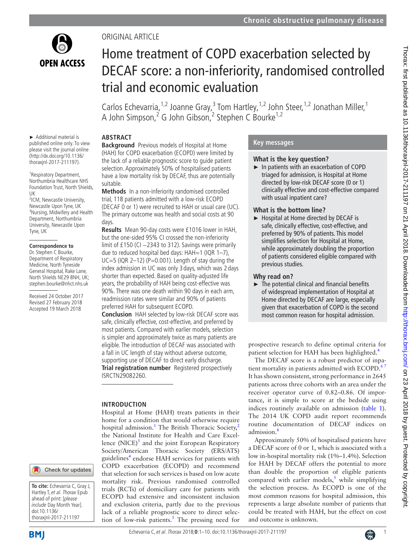

# ORIGINAL ARTICLE

# Home treatment of COPD exacerbation selected by DECAF score: a non-inferiority, randomised controlled trial and economic evaluation

Carlos Echevarria,<sup>1,2</sup> Joanne Gray,<sup>3</sup> Tom Hartley,<sup>1,2</sup> John Steer,<sup>1,2</sup> Jonathan Miller,<sup>1</sup> A John Simpson,<sup>2</sup> G John Gibson,<sup>2</sup> Stephen C Bourke<sup>1,2</sup>

# **Abstract**

► Additional material is published online only. To view please visit the journal online (http://dx.doi.org/10.1136/ thoraxjnl-2017-211197).

<sup>1</sup> Respiratory Department, Northumbria Healthcare NHS Foundation Trust, North Shields, UK

<sup>2</sup>ICM, Newcastle University, Newcastle Upon Tyne, UK <sup>3</sup> <sup>3</sup>Nursing, Midwifery and Health Department, Northumbria University, Newcastle Upon Tyne, UK

#### **Correspondence to**

Dr. Stephen C Bourke, Department of Respiratory Medicine, North Tyneside General Hospital, Rake Lane, North Shields NE29 8NH, UK; stephen.bourke@nhct.nhs.uk

Received 24 October 2017 Revised 27 February 2018 Accepted 19 March 2018

**Background** Previous models of Hospital at Home (HAH) for COPD exacerbation (ECOPD) were limited by the lack of a reliable prognostic score to guide patient selection. Approximately 50% of hospitalised patients have a low mortality risk by DECAF, thus are potentially suitable.

**Methods** In a non-inferiority randomised controlled trial, 118 patients admitted with a low-risk ECOPD (DECAF 0 or 1) were recruited to HAH or usual care (UC). The primary outcome was health and social costs at 90 days.

**Results** Mean 90-day costs were £1016 lower in HAH, but the one-sided 95% CI crossed the non-inferiority limit of £150 (CI −2343 to 312). Savings were primarily due to reduced hospital bed days: HAH=1 (IQR 1–7),  $UC=5$  (IQR 2-12) (P=0.001). Length of stay during the index admission in UC was only 3 days, which was 2 days shorter than expected. Based on quality-adjusted life years, the probability of HAH being cost-effective was 90%. There was one death within 90 days in each arm, readmission rates were similar and 90% of patients preferred HAH for subsequent ECOPD.

**Conclusion** HAH selected by low-risk DECAF score was safe, clinically effective, cost-effective, and preferred by most patients. Compared with earlier models, selection is simpler and approximately twice as many patients are eligible. The introduction of DECAF was associated with a fall in UC length of stay without adverse outcome, supporting use of DECAF to direct early discharge. **Trial registration number** Registered prospectively [ISRCTN29082260.](ISRCTN%2029082260)

# **Introduction**

Hospital at Home (HAH) treats patients in their home for a condition that would otherwise require hospital admission.<sup>1</sup> The British Thoracic Society,<sup>[2](#page-8-1)</sup> the National Institute for Health and Care Excellence (NICE)<sup>3</sup> and the joint European Respiratory Society/American Thoracic Society (ERS/ATS) guidelines<sup>[4](#page-8-3)</sup> endorse HAH services for patients with COPD exacerbation (ECOPD) and recommend that selection for such services is based on low acute mortality risk. Previous randomised controlled trials (RCTs) of domiciliary care for patients with ECOPD had extensive and inconsistent inclusion and exclusion criteria, partly due to the previous lack of a reliable prognostic score to direct selec-tion of low-risk patients.<sup>[5](#page-8-4)</sup> The pressing need for

# **Key messages**

# **What is the key question?**

► In patients with an exacerbation of COPD triaged for admission, is Hospital at Home directed by low-risk DECAF score (0 or 1) clinically effective and cost-effective compared with usual inpatient care?

# **What is the bottom line?**

► Hospital at Home directed by DECAF is safe, clinically effective, cost-effective, and preferred by 90% of patients. This model simplifies selection for Hospital at Home, while approximately doubling the proportion of patients considered eligible compared with previous studies.

# **Why read on?**

 $\blacktriangleright$  The potential clinical and financial benefits of widespread implementation of Hospital at Home directed by DECAF are large, especially given that exacerbation of COPD is the second most common reason for hospital admission.

prospective research to define optimal criteria for patient selection for HAH has been highlighted.<sup>[4](#page-8-3)</sup>

The DECAF score is a robust predictor of inpatient mortality in patients admitted with ECOPD.<sup>67</sup> It has shown consistent, strong performance in 2645 patients across three cohorts with an area under the receiver operator curve of 0.82–0.86. Of importance, it is simple to score at the bedside using indices routinely available on admission [\(table](#page-1-0) 1). The 2014 UK COPD audit report recommends routine documentation of DECAF indices on admission.<sup>[8](#page-8-6)</sup>

Approximately 50% of hospitalised patients have a DECAF score of 0 or 1, which is associated with a low in-hospital mortality risk (1%–1.4%). Selection for HAH by DECAF offers the potential to more than double the proportion of eligible patients compared with earlier models, $<sup>5</sup>$  while simplifying</sup> the selection process. As ECOPD is one of the most common reasons for hospital admission, this represents a large absolute number of patients that could be treated with HAH, but the effect on cost and outcome is unknown.

**BMI** 

doi:10.1136/ thoraxjnl-2017-211197

**To cite:** Echevarria C, Gray J, Hartley T, et al. Thorax Epub ahead of print: [please include Day Month Year].

Check for updates

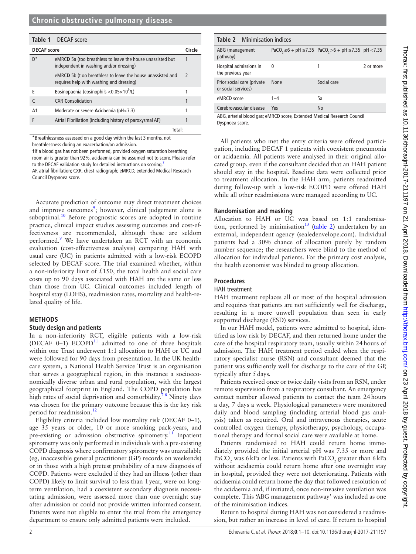<span id="page-1-0"></span>

|                    | <b>Table 1</b> DECAF score                                                                              |                          |
|--------------------|---------------------------------------------------------------------------------------------------------|--------------------------|
| <b>DECAF</b> score |                                                                                                         |                          |
| D <sup>*</sup>     | eMRCD 5a (too breathless to leave the house unassisted but<br>independent in washing and/or dressing)   |                          |
|                    | eMRCD 5b (t oo breathless to leave the house unassisted and<br>requires help with washing and dressing) | $\overline{\phantom{0}}$ |
| F                  | Eosinopaenia (eosinophils $<$ 0.05 $\times$ 10 <sup>9</sup> /L)                                         |                          |
|                    | <b>CXR Consolidation</b>                                                                                | 1                        |
| A <sup>+</sup>     | Moderate or severe Acidaemia (pH<7.3)                                                                   |                          |
| F                  | Atrial Fibrillation (including history of paroxysmal AF)                                                | 1                        |
|                    | Total:                                                                                                  |                          |

\*Breathlessness assessed on a good day within the last 3 months, not

breathlessness during an exacerbation/on admission.

†If a blood gas has not been performed, provided oxygen saturation breathing room air is greater than 92%, acidaemia can be assumed not to score. Please refer to the DECAF validation study for detailed instructions on scoring.<sup>7</sup> AF, atrial fibrillation; CXR, chest radiograph; eMRCD, extended Medical Research Council Dyspnoea score.

Accurate prediction of outcome may direct treatment choices and improve outcomes<sup>[9](#page-8-7)</sup>; however, clinical judgement alone is suboptimal.<sup>10</sup> Before prognostic scores are adopted in routine practice, clinical impact studies assessing outcomes and cost-effectiveness are recommended, although these are seldom performed.<sup>[9](#page-8-7)</sup> We have undertaken an RCT with an economic evaluation (cost-effectiveness analysis) comparing HAH with usual care (UC) in patients admitted with a low-risk ECOPD selected by DECAF score. The trial examined whether, within a non-inferiority limit of £150, the total health and social care costs up to 90 days associated with HAH are the same or less than those from UC. Clinical outcomes included length of hospital stay (LOHS), readmission rates, mortality and health-related quality of life.

#### **Methods**

#### **Study design and patients**

In a non-inferiority RCT, eligible patients with a low-risk (DECAF  $0-1$ ) ECOPD<sup>11</sup> admitted to one of three hospitals within one Trust underwent 1:1 allocation to HAH or UC and were followed for 90 days from presentation. In the UK healthcare system, a National Health Service Trust is an organisation that serves a geographical region, in this instance a socioeconomically diverse urban and rural population, with the largest geographical footprint in England. The COPD population has high rates of social deprivation and comorbidity.<sup>78</sup> Ninety days was chosen for the primary outcome because this is the key risk period for readmission.<sup>[12](#page-8-11)</sup>

Eligibility criteria included low mortality risk (DECAF 0–1), age 35 years or older, 10 or more smoking pack-years, and pre-existing or admission obstructive spirometry.<sup>[11](#page-8-9)</sup> Inpatient spirometry was only performed in individuals with a pre-existing COPD diagnosis where confirmatory spirometry was unavailable (eg, inaccessible general practitioner (GP) records on weekends) or in those with a high pretest probability of a new diagnosis of COPD. Patients were excluded if they had an illness (other than COPD) likely to limit survival to less than 1year, were on longterm ventilation, had a coexistent secondary diagnosis necessitating admission, were assessed more than one overnight stay after admission or could not provide written informed consent. Patients were not eligible to enter the trial from the emergency department to ensure only admitted patients were included.

<span id="page-1-1"></span>

| <b>Table 2</b> Minimisation indices                                     |         |                                                                       |           |
|-------------------------------------------------------------------------|---------|-----------------------------------------------------------------------|-----------|
| ABG (management<br>pathway)                                             |         | PaCO, $\leq$ 6 + pH $\geq$ 7.35 PaCO, $>$ 6 + pH $\geq$ 7.35 pH <7.35 |           |
| Hospital admissions in<br>the previous year                             | 0       | 1                                                                     | 2 or more |
| Prior social care (private<br>or social services)                       | None    | Social care                                                           |           |
| eMRCD score                                                             | $1 - 4$ | 5a                                                                    |           |
| Cerebrovascular disease                                                 | Yes     | <b>No</b>                                                             |           |
| ABG, arterial blood gas; eMRCD score, Extended Medical Research Council |         |                                                                       |           |

Dyspnoea score.

All patients who met the entry criteria were offered participation, including DECAF 1 patients with coexistent pneumonia or acidaemia. All patients were analysed in their original allocated group, even if the consultant decided that an HAH patient should stay in the hospital. Baseline data were collected prior to treatment allocation. In the HAH arm, patients readmitted during follow-up with a low-risk ECOPD were offered HAH while all other readmissions were managed according to UC.

## **Randomisation and masking**

Allocation to HAH or UC was based on 1:1 randomisation, performed by minimisation<sup>13</sup> ([table](#page-1-1) 2) undertaken by an external, independent agency (sealedenvelope.com). Individual patients had a 30% chance of allocation purely by random number sequence; the researchers were blind to the method of allocation for individual patients. For the primary cost analysis, the health economist was blinded to group allocation.

# **Procedures**

#### HAH treatment

HAH treatment replaces all or most of the hospital admission and requires that patients are not sufficiently well for discharge, resulting in a more unwell population than seen in early supported discharge (ESD) services.

In our HAH model, patients were admitted to hospital, identified as low risk by DECAF, and then returned home under the care of the hospital respiratory team, usually within 24hours of admission. The HAH treatment period ended when the respiratory specialist nurse (RSN) and consultant deemed that the patient was sufficiently well for discharge to the care of the GP, typically after 5days.

Patients received once or twice daily visits from an RSN, under remote supervision from a respiratory consultant. An emergency contact number allowed patients to contact the team 24hours a day, 7 days a week. Physiological parameters were monitored daily and blood sampling (including arterial blood gas analysis) taken as required. Oral and intravenous therapies, acute controlled oxygen therapy, physiotherapy, psychology, occupational therapy and formal social care were available at home.

Patients randomised to HAH could return home immediately provided the initial arterial pH was 7.35 or more and PaCO<sub>2</sub> was 6kPa or less. Patients with PaCO<sub>2</sub> greater than 6kPa without acidaemia could return home after one overnight stay in hospital, provided they were not deteriorating. Patients with acidaemia could return home the day that followed resolution of the acidaemia and, if initiated, once non-invasive ventilation was complete. This 'ABG management pathway' was included as one of the minimisation indices.

Return to hospital during HAH was not considered a readmission, but rather an increase in level of care. If return to hospital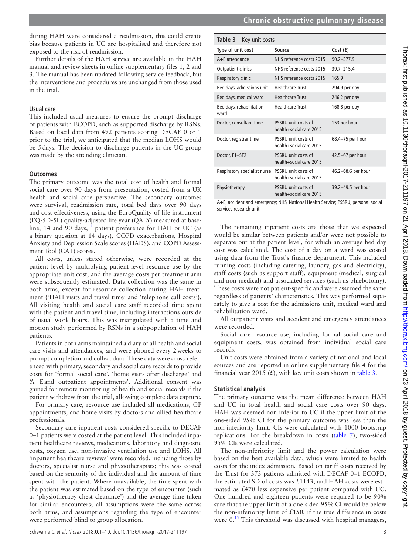during HAH were considered a readmission, this could create bias because patients in UC are hospitalised and therefore not exposed to the risk of readmission.

Further details of the HAH service are available in the HAH manual and review sheets in online [supplementary files 1, 2 and](https://dx.doi.org/10.1136/thoraxjnl-2017-211197)  [3](https://dx.doi.org/10.1136/thoraxjnl-2017-211197). The manual has been updated following service feedback, but the interventions and procedures are unchanged from those used in the trial.

# Usual care

This included usual measures to ensure the prompt discharge of patients with ECOPD, such as supported discharge by RSNs. Based on local data from 492 patients scoring DECAF 0 or 1 prior to the trial, we anticipated that the median LOHS would be 5days. The decision to discharge patients in the UC group was made by the attending clinician.

# **Outcomes**

The primary outcome was the total cost of health and formal social care over 90 days from presentation, costed from a UK health and social care perspective. The secondary outcomes were survival, readmission rate, total bed days over 90 days and cost-effectiveness, using the EuroQuality of life instrument (EQ-5D-5L) quality-adjusted life year (QALY) measured at baseline, 14 and 90 days, $14$  patient preference for HAH or UC (as a binary question at 14 days), COPD exacerbations, Hospital Anxiety and Depression Scale scores (HADS), and COPD Assessment Tool (CAT) scores.

All costs, unless stated otherwise, were recorded at the patient level by multiplying patient-level resource use by the appropriate unit cost, and the average costs per treatment arm were subsequently estimated. Data collection was the same in both arms, except for resource collection during HAH treatment ('HAH visits and travel time' and 'telephone call costs'). All visiting health and social care staff recorded time spent with the patient and travel time, including interactions outside of usual work hours. This was triangulated with a time and motion study performed by RSNs in a subpopulation of HAH patients.

Patients in both arms maintained a diary of all health and social care visits and attendances, and were phoned every 2weeks to prompt completion and collect data. These data were cross-referenced with primary, secondary and social care records to provide costs for 'formal social care', 'home visits after discharge' and 'A+Eand outpatient appointments'. Additional consent was gained for remote monitoring of health and social records if the patient withdrew from the trial, allowing complete data capture.

For primary care, resource use included all medications, GP appointments, and home visits by doctors and allied healthcare professionals.

Secondary care inpatient costs considered specific to DECAF 0–1 patients were costed at the patient level. This included inpatient healthcare reviews, medications, laboratory and diagnostic costs, oxygen use, non-invasive ventilation use and LOHS. All 'inpatient healthcare reviews' were recorded, including those by doctors, specialist nurse and physiotherapists; this was costed based on the seniority of the individual and the amount of time spent with the patient. Where unavailable, the time spent with the patient was estimated based on the type of encounter (such as 'physiotherapy chest clearance') and the average time taken for similar encounters; all assumptions were the same across both arms, and assumptions regarding the type of encounter were performed blind to group allocation.

<span id="page-2-0"></span>

| Table 3<br>Key unit costs                                                                                                                                                                                                                                                                                        |                                                |                    |  |  |
|------------------------------------------------------------------------------------------------------------------------------------------------------------------------------------------------------------------------------------------------------------------------------------------------------------------|------------------------------------------------|--------------------|--|--|
| Type of unit cost                                                                                                                                                                                                                                                                                                | Source                                         | Cost(f)            |  |  |
| A+E attendance                                                                                                                                                                                                                                                                                                   | NHS reference costs 2015                       | $90.2 - 377.9$     |  |  |
| <b>Outpatient clinics</b>                                                                                                                                                                                                                                                                                        | NHS reference costs 2015                       | 39.7-215.4         |  |  |
| Respiratory clinic                                                                                                                                                                                                                                                                                               | NHS reference costs 2015<br>165.9              |                    |  |  |
| Bed days, admissions unit                                                                                                                                                                                                                                                                                        | <b>Healthcare Trust</b>                        | 294.9 per day      |  |  |
| Bed days, medical ward                                                                                                                                                                                                                                                                                           | <b>Healthcare Trust</b>                        | 246.2 per day      |  |  |
| Bed days, rehabilitation<br>ward                                                                                                                                                                                                                                                                                 | <b>Healthcare Trust</b>                        | 168.8 per day      |  |  |
| Doctor, consultant time                                                                                                                                                                                                                                                                                          | PSSRU unit costs of<br>health+social care 2015 | 153 per hour       |  |  |
| Doctor, registrar time                                                                                                                                                                                                                                                                                           | PSSRU unit costs of<br>health+social care 2015 | 68.4-75 per hour   |  |  |
| Doctor, F1-ST2                                                                                                                                                                                                                                                                                                   | PSSRU unit costs of<br>health+social care 2015 | 42.5-67 per hour   |  |  |
| Respiratory specialist nurse                                                                                                                                                                                                                                                                                     | PSSRU unit costs of<br>health+social care 2015 | 46.2-68.6 per hour |  |  |
| Physiotherapy                                                                                                                                                                                                                                                                                                    | PSSRU unit costs of<br>health+social care 2015 | 39.2-49.5 per hour |  |  |
| $\mathbf{A} \times \mathbf{E}$ . The contribution of the contribution of the contribution of the contribution of the contribution of the contribution of the contribution of the contribution of the contribution of the contribution of th<br>$\sim$ MHz, Martin all Hardler contains become a constant and the |                                                |                    |  |  |

A+E, accident and emergency; NHS, National Health Service; PSSRU, personal social services research unit.

The remaining inpatient costs are those that we expected would be similar between patients and/or were not possible to separate out at the patient level, for which an average bed day cost was calculated. The cost of a day on a ward was costed using data from the Trust's finance department. This included running costs (including catering, laundry, gas and electricity), staff costs (such as support staff), equipment (medical, surgical and non-medical) and associated services (such as phlebotomy). These costs were not patient-specific and were assumed the same regardless of patients' characteristics. This was performed separately to give a cost for the admissions unit, medical ward and rehabilitation ward.

All outpatient visits and accident and emergency attendances were recorded.

Social care resource use, including formal social care and equipment costs, was obtained from individual social care records.

Unit costs were obtained from a variety of national and local sources and are reported in online [supplementary file 4](https://dx.doi.org/10.1136/thoraxjnl-2017-211197) for the financial year 2015 ( $f$ ), with key unit costs shown in [table](#page-2-0) 3.

# **Statistical analysis**

The primary outcome was the mean difference between HAH and UC in total health and social care costs over 90 days. HAH was deemed non-inferior to UC if the upper limit of the one-sided 95% CI for the primary outcome was less than the non-inferiority limit. CIs were calculated with 1000 bootstrap replications. For the breakdown in costs ([table](#page-6-0) 7), two-sided 95% CIs were calculated.

The non-inferiority limit and the power calculation were based on the best available data, which were limited to health costs for the index admission. Based on tariff costs received by the Trust for 373 patients admitted with DECAF 0–1 ECOPD, the estimated SD of costs was  $£1143$ , and HAH costs were estimated as £470 less expensive per patient compared with UC. One hundred and eighteen patients were required to be 90% sure that the upper limit of a one-sided 95% CI would be below the non-inferiority limit of  $£150$ , if the true difference in costs were  $0.^{15}$  $0.^{15}$  $0.^{15}$  This threshold was discussed with hospital managers,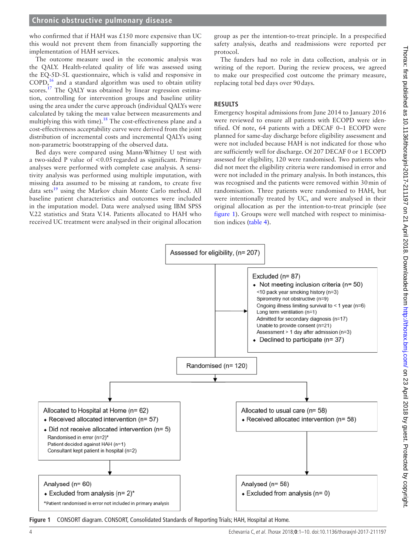# **Chronic obstructive pulmonary disease**

who confirmed that if HAH was £150 more expensive than UC this would not prevent them from financially supporting the implementation of HAH services.

The outcome measure used in the economic analysis was the QALY. Health-related quality of life was assessed using the EQ-5D-5L questionnaire, which is valid and responsive in  $COPD<sub>16</sub>$  and a standard algorithm was used to obtain utility scores.<sup>[17](#page-8-16)</sup> The QALY was obtained by linear regression estimation, controlling for intervention groups and baseline utility using the area under the curve approach (individual QALYs were calculated by taking the mean value between measurements and multiplying this with time).<sup>[18](#page-8-17)</sup> The cost-effectiveness plane and a cost-effectiveness acceptability curve were derived from the joint distribution of incremental costs and incremental QALYs using non-parametric bootstrapping of the observed data.

Bed days were compared using Mann-Whitney U test with a two-sided P value of <0.05regarded as significant. Primary analyses were performed with complete case analysis. A sensitivity analysis was performed using multiple imputation, with missing data assumed to be missing at random, to create five data sets<sup>19</sup> using the Markov chain Monte Carlo method. All baseline patient characteristics and outcomes were included in the imputation model. Data were analysed using IBM SPSS V.22 statistics and Stata V.14. Patients allocated to HAH who received UC treatment were analysed in their original allocation

group as per the intention-to-treat principle. In a prespecified safety analysis, deaths and readmissions were reported per protocol.

The funders had no role in data collection, analysis or in writing of the report. During the review process, we agreed to make our prespecified cost outcome the primary measure, replacing total bed days over 90days.

#### **Results**

Emergency hospital admissions from June 2014 to January 2016 were reviewed to ensure all patients with ECOPD were identified. Of note, 64 patients with a DECAF 0–1 ECOPD were planned for same-day discharge before eligibility assessment and were not included because HAH is not indicated for those who are sufficiently well for discharge. Of 207 DECAF 0 or 1 ECOPD assessed for eligibility, 120 were randomised. Two patients who did not meet the eligibility criteria were randomised in error and were not included in the primary analysis. In both instances, this was recognised and the patients were removed within 30min of randomisation. Three patients were randomised to HAH, but were intentionally treated by UC, and were analysed in their original allocation as per the intention-to-treat principle (see [figure](#page-3-0) 1). Groups were well matched with respect to minimisation indices ([table](#page-4-0) 4).



<span id="page-3-0"></span>**Figure 1** CONSORT diagram. CONSORT, Consolidated Standards of Reporting Trials; HAH, Hospital at Home.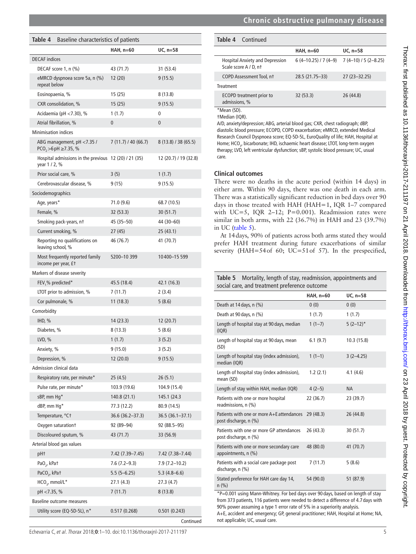<span id="page-4-0"></span>

| Table 4<br>Baseline characteristics of patients                      |                    |                       |  |
|----------------------------------------------------------------------|--------------------|-----------------------|--|
|                                                                      | HAH, n=60          | UC, n=58              |  |
| <b>DECAF</b> indices                                                 |                    |                       |  |
| DECAF score 1, n (%)                                                 | 43 (71.7)          | 31 (53.4)             |  |
| eMRCD dyspnoea score 5a, n (%)<br>repeat below                       | 12(20)             | 9(15.5)               |  |
| Eosinopaenia, %                                                      | 15 (25)            | 8 (13.8)              |  |
| CXR consolidation, %                                                 | 15(25)             | 9(15.5)               |  |
| Acidaemia (pH <7.30), %                                              | 1(1.7)             | 0                     |  |
| Atrial fibrillation, %                                               | 0                  | 0                     |  |
| <b>Minimisation indices</b>                                          |                    |                       |  |
| ABG management, pH <7.35 /<br>$PCO_2 > 6$ pH $\geq$ 7.35, %          | 7(11.7) / 40(66.7) | 8 (13.8) / 38 (65.5)  |  |
| Hospital admissions in the previous $12(20)/21(35)$<br>year 1 / 2, % |                    | 12 (20.7) / 19 (32.8) |  |
| Prior social care, %                                                 | 3(5)               | 1(1.7)                |  |
| Cerebrovascular disease, %                                           | 9(15)              | 9(15.5)               |  |
| Sociodemographics                                                    |                    |                       |  |
| Age, years*                                                          | 71.0 (9.6)         | 68.7 (10.5)           |  |
| Female, %                                                            | 32 (53.3)          | 30 (51.7)             |  |
| Smoking pack-years, nt                                               | 45 (35–50)         | 44 (30–60)            |  |
| Current smoking, %                                                   | 27 (45)            | 25 (43.1)             |  |
| Reporting no qualifications on<br>leaving school, %                  | 46 (76.7)          | 41 (70.7)             |  |
| Most frequently reported family<br>income per year, £t               | 5200-10 399        | 10400-15599           |  |
| Markers of disease severity                                          |                    |                       |  |
| FEV <sub>1</sub> % predicted*                                        | 45.5 (18.4)        | 42.1 (16.3)           |  |
| LTOT prior to admission, %                                           | 7(11.7)            | 2(3.4)                |  |
| Cor pulmonale, %                                                     | 11(18.3)           | 5(8.6)                |  |
| Comorbidity                                                          |                    |                       |  |
| IHD, %                                                               | 14 (23.3)          | 12(20.7)              |  |
| Diabetes. %                                                          | 8(13.3)            | 5(8.6)                |  |
| LVD, $%$                                                             | 1(1.7)             | 3(5.2)                |  |
| Anxiety, %                                                           | 9(15.0)            | 3(5.2)                |  |
| Depression, %                                                        | 12(20.0)           | 9(15.5)               |  |
| Admission clinical data                                              |                    |                       |  |
| Respiratory rate, per minute*                                        | 25(4.5)            | 26(5.1)               |  |
| Pulse rate, per minute*                                              | 103.9 (19.6)       | 104.9 (15.4)          |  |
| sBP, mm Hg <sup>*</sup>                                              | 140.8(21.1)        | 145.1 (24.3           |  |
| $dBP$ , mm $Hg^*$                                                    | 77.3 (12.2)        | 80.9 (14.5)           |  |
| Temperature, °C+                                                     | 36.6 (36.2-37.3)   | $36.5(36.1 - 37.1)$   |  |
| Oxygen saturation+                                                   | 92 (89-94)         | 92 (88.5–95)          |  |
| Discoloured sputum, %                                                | 43 (71.7)          | 33 (56.9)             |  |
| Arterial blood gas values                                            |                    |                       |  |
| pH†                                                                  | 7.42 (7.39-7.45)   | 7.42 (7.38-7.44)      |  |
| PaO <sub>2</sub> , kPat                                              | 7.6 (7.2–9.3)      | 7.9 (7.2–10.2)        |  |
| PaCO <sub>2</sub> , kPat                                             | $5.5(5-6.25)$      | $5.3(4.8-6.6)$        |  |
| $HCO_{3}$ , mmol/L*                                                  | 27.1 (4.3)         | 27.3 (4.7)            |  |
| pH <7.35, %                                                          | 7(11.7)            | 8(13.8)               |  |
| Baseline outcome measures                                            |                    |                       |  |
| Utility score (EQ-5D-5L), n*                                         | 0.517(0.268)       | 0.501(0.243)          |  |
|                                                                      |                    | Continued             |  |

| <b>Table 4</b> Continued                                        |                                                    |                  |
|-----------------------------------------------------------------|----------------------------------------------------|------------------|
|                                                                 | $HAH, n=60$                                        | $UC, n=58$       |
| <b>Hospital Anxiety and Depression</b><br>Scale score A / D, nt | $6(4-10.25)$ / 7 $(4-9)$ 7 $(4-10)$ / 5 $(2-8.25)$ |                  |
| COPD Assessment Tool, nt                                        | 28.5 (21.75-33)                                    | $27(23 - 32.25)$ |
| <b>Treatment</b>                                                |                                                    |                  |
| <b>ECOPD</b> treatment prior to<br>admissions, %                | 32(53.3)                                           | 26(44.8)         |

\*Mean (SD).

†Median (IQR).

A/D, anxiety/depression; ABG, arterial blood gas; CXR, chest radiograph; dBP, diastolic blood pressure; ECOPD, COPD exacerbation; eMRCD, extended Medical Research Council Dyspnoea score; EQ-5D-5L, EuroQuality of life; HAH, Hospital at Home; HCO<sub>3</sub>, bicarbonate; IHD, ischaemic heart disease; LTOT, long-term oxygen therapy; LVD, left ventricular dysfunction; sBP, systolic blood pressure; UC, usual care.

#### **Clinical outcomes**

There were no deaths in the acute period (within 14 days) in either arm. Within 90 days, there was one death in each arm. There was a statistically significant reduction in bed days over 90 days in those treated with HAH (HAH=1, IQR 1–7 compared with UC=5, IQR 2-12; P=0.001). Readmission rates were similar in both arms, with 22 (36.7%) in HAH and 23 (39.7%) in UC [\(table](#page-4-1) 5).

At 14days, 90% of patients across both arms stated they would prefer HAH treatment during future exacerbations of similar severity (HAH=54of 60; UC=51of 57). In the prespecified,

<span id="page-4-1"></span>

| <b>Table 5</b> Mortality, length of stay, readmission, appointments and |
|-------------------------------------------------------------------------|
| social care, and treatment preference outcome                           |

|                                                                              | $HAH, n=60$ | $UC, n=58$  |
|------------------------------------------------------------------------------|-------------|-------------|
| Death at 14 days, n (%)                                                      | 0(0)        | 0(0)        |
| Death at 90 days, n (%)                                                      | 1(1.7)      | 1(1.7)      |
| Length of hospital stay at 90 days, median<br>(IQR)                          | $1(1-7)$    | $5(2-12)^*$ |
| Length of hospital stay at 90 days, mean<br>(SD)                             | 6.1(9.7)    | 10.3(15.8)  |
| Length of hospital stay (index admission),<br>median (IQR)                   | $1(1-1)$    | $3(2-4.25)$ |
| Length of hospital stay (index admission),<br>mean (SD)                      | 1.2(2.1)    | 4.1(4.6)    |
| Length of stay within HAH, median (IQR)                                      | $4(2-5)$    | <b>NA</b>   |
| Patients with one or more hospital<br>readmissions, n (%)                    | 22 (36.7)   | 23 (39.7)   |
| Patients with one or more A+E attendances<br>post discharge, n (%)           | 29(48.3)    | 26 (44.8)   |
| Patients with one or more GP attendances<br>post discharge, n (%)            | 26(43.3)    | 30 (51.7)   |
| Patients with one or more secondary care<br>appointments, n (%)              | 48 (80.0)   | 41 (70.7)   |
| Patients with a social care package post<br>discharge, n (%)                 | 7(11.7)     | 5(8.6)      |
| Stated preference for HAH care day 14,<br>$n$ (%)                            | 54 (90.0)   | 51 (87.9)   |
| *P-0.001 using Mann-Whitney For hed days over 90 days hased on length of sta |             |             |

\*P=0.001 using Mann-Whitney. For bed days over 90 days, based on length of stay from 373 patients, 116 patients were needed to detect a difference of 4.7 days with 90% power assuming a type 1 error rate of 5% in a superiority analysis. A+E, accident and emergency; GP, general practitioner; HAH, Hospital at Home; NA, not applicable; UC, usual care.

Thorax: first published as 10.1136/thoraxjnl-2017-211197 on 21 April 2018. Downloaded from http://thorax.bmj.com/ on 23 April 2018 by guest. Protected by copyright on 23 April 2018 by guest. Protected by copyright. <http://thorax.bmj.com/> Thorax: first published as 10.1136/thoraxjnl-2017-211197 on 21 April 2018. Downloaded from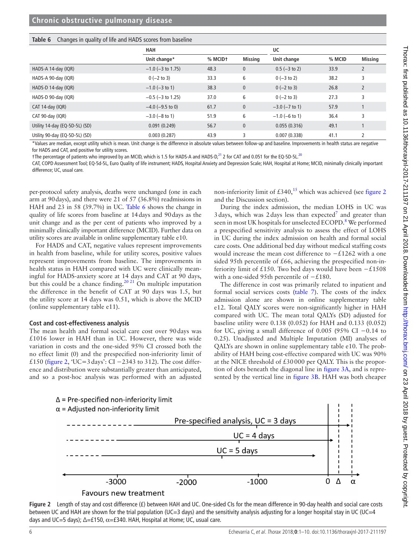#### <span id="page-5-0"></span>**Table 6** Changes in quality of life and HADS scores from baseline

|                                | HAH                    |         |              |                     | UC     |                |  |
|--------------------------------|------------------------|---------|--------------|---------------------|--------|----------------|--|
|                                | Unit change*           | % MCID+ | Missing      | Unit change         | % MCID | <b>Missing</b> |  |
| HADS-A 14-day (IQR)            | $-1.0$ ( $-3$ to 1.75) | 48.3    | $\mathbf{0}$ | $0.5$ ( $-3$ to 2)  | 33.9   | $\overline{2}$ |  |
| HADS-A 90-day (IQR)            | $0 (-2 to 3)$          | 33.3    | 6            | $0 (-3 to 2)$       | 38.2   | 3              |  |
| HADS-D 14-day (IQR)            | $-1.0$ ( $-3$ to 1)    | 38.3    | $\pmb{0}$    | $0 (-2 to 3)$       | 26.8   | $\overline{2}$ |  |
| HADS-D 90-day (IQR)            | $-0.5$ ( $-3$ to 1.25) | 37.0    | 6            | $0$ (-2 to 3)       | 27.3   | 3              |  |
| CAT 14-day (IQR)               | $-4.0$ ( $-9.5$ to 0)  | 61.7    | $\mathbf{0}$ | $-3.0$ ( $-7$ to 1) | 57.9   |                |  |
| CAT 90-day (IQR)               | $-3.0$ ( $-8$ to 1)    | 51.9    | 6            | $-1.0$ (-6 to 1)    | 36.4   | 3              |  |
| Utility 14-day (EQ-5D-5L) (SD) | 0.091(0.249)           | 56.7    | $\mathbf{0}$ | 0.055(0.316)        | 49.1   |                |  |
| Utility 90-day (EQ-5D-5L) (SD) | 0.003(0.287)           | 43.9    |              | 0.007(0.338)        | 41.1   | $\overline{2}$ |  |

\*Values are median, except utility which is mean. Unit change is the difference in absolute values between follow-up and baseline. Improvements in health status are negative for HADS and CAT, and positive for utility scores.

†The percentage of patients who improved by an MCID, which is 1.5 for HADS-A and HADS-D,[21](#page-8-20) 2 for CAT and 0.051 for the EQ-5D-5L.[20](#page-8-19)

CAT, COPD Assessment Tool; EQ-5d-5L, Euro Quality of life instrument; HADS, Hospital Anxiety and Depression Scale; HAH, Hospital at Home; MCID, minimally clinically important difference; UC, usual care.

per-protocol safety analysis, deaths were unchanged (one in each arm at 90days), and there were 21 of 57 (36.8%) readmissions in HAH and 23 in 58 (39.7%) in UC. [Table](#page-5-0) 6 shows the change in quality of life scores from baseline at 14days and 90days as the unit change and as the per cent of patients who improved by a minimally clinically important difference (MCID). Further data on utility scores are available in online [supplementary table e10](https://dx.doi.org/10.1136/thoraxjnl-2017-211197).

For HADS and CAT, negative values represent improvements in health from baseline, while for utility scores, positive values represent improvements from baseline. The improvements in health status in HAH compared with UC were clinically meaningful for HADS-anxiety score at 14 days and CAT at 90 days, but this could be a chance finding.<sup>20 21</sup> On multiple imputation the difference in the benefit of CAT at 90 days was 1.5, but the utility score at 14 days was 0.51, which is above the MCID (online [supplementary table e11](https://dx.doi.org/10.1136/thoraxjnl-2017-211197)).

#### **Cost and cost-effectiveness analysis**

The mean health and formal social care cost over 90days was £1016 lower in HAH than in UC. However, there was wide variation in costs and the one-sided 95% CI crossed both the no effect limit (0) and the prespecified non-inferiority limit of £150 [\(figure](#page-5-1) 2, 'UC=3 days': CI –2343 to 312). The cost difference and distribution were substantially greater than anticipated, and so a post-hoc analysis was performed with an adjusted

non-inferiority limit of  $£340<sup>15</sup>$  which was achieved (see [figure](#page-5-1) 2) and the Discussion section).

During the index admission, the median LOHS in UC was 3 days, which was 2 days less than expected<sup>7</sup> and greater than seen in most UK hospitals for unselected ECOPD.<sup>[8](#page-8-6)</sup> We performed a prespecified sensitivity analysis to assess the effect of LOHS in UC during the index admission on health and formal social care costs. One additional bed day without medical staffing costs would increase the mean cost difference to −£1262 with a one sided 95th percentile of £66, achieving the prespecified non-inferiority limit of £150. Two bed days would have been  $-\text{\pounds}1508$ with a one-sided 95th percentile of −£180.

The difference in cost was primarily related to inpatient and formal social services costs [\(table](#page-6-0) 7). The costs of the index admission alone are shown in online [supplementary table](https://dx.doi.org/10.1136/thoraxjnl-2017-211197) [e12.](https://dx.doi.org/10.1136/thoraxjnl-2017-211197) Total QALY scores were non-significantly higher in HAH compared with UC. The mean total QALYs (SD) adjusted for baseline utility were 0.138 (0.052) for HAH and 0.133 (0.052) for UC, giving a small difference of 0.005 (95% CI −0.14 to 0.25). Unadjusted and Multiple Imputation (MI) analyses of QALYs are shown in online [supplementary table e10](https://dx.doi.org/10.1136/thoraxjnl-2017-211197). The probability of HAH being cost-effective compared with UC was 90% at the NICE threshold of £30000 per QALY. This is the proportion of dots beneath the diagonal line in [figure](#page-6-1) 3A, and is represented by the vertical line in [figure](#page-6-1) 3B. HAH was both cheaper



<span id="page-5-1"></span>**Figure 2** Length of stay and cost difference (£) between HAH and UC. One-sided CIs for the mean difference in 90-day health and social care costs between UC and HAH are shown for the trial population (UC=3 days) and the sensitivity analysis adjusting for a longer hospital stay in UC (UC=4 days and UC=5 days);  $Δ=£150$ ,  $α=£340$ . HAH, Hospital at Home; UC, usual care.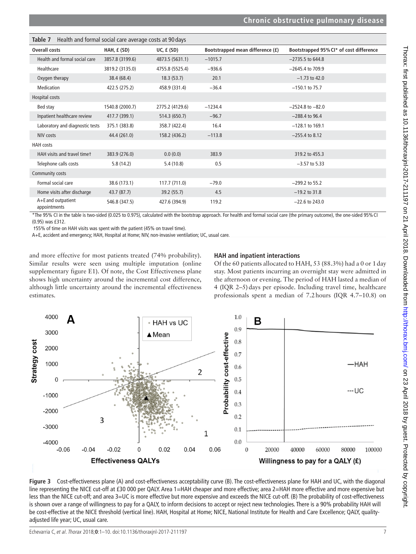<span id="page-6-0"></span>

| Health and formal social care average costs at 90 days<br>Table 7 |                 |                 |                                  |                                         |  |
|-------------------------------------------------------------------|-----------------|-----------------|----------------------------------|-----------------------------------------|--|
| Overall costs                                                     | HAH, £ (SD)     | UC, f(SD)       | Bootstrapped mean difference (£) | Bootstrapped 95% CI* of cost difference |  |
| Health and formal social care                                     | 3857.8 (3199.6) | 4873.5 (5631.1) | $-1015.7$                        | $-2735.5$ to 644.8                      |  |
| Healthcare                                                        | 3819.2 (3135.0) | 4755.8 (5525.4) | $-936.6$                         | $-2645.4$ to 709.9                      |  |
| Oxygen therapy                                                    | 38.4 (68.4)     | 18.3(53.7)      | 20.1                             | $-1.73$ to 42.0                         |  |
| Medication                                                        | 422.5 (275.2)   | 458.9 (331.4)   | $-36.4$                          | $-150.1$ to 75.7                        |  |
| Hospital costs                                                    |                 |                 |                                  |                                         |  |
| Bed stay                                                          | 1540.8 (2000.7) | 2775.2 (4129.6) | $-1234.4$                        | $-2524.8$ to $-82.0$                    |  |
| Inpatient healthcare review                                       | 417.7 (399.1)   | 514.3 (650.7)   | $-96.7$                          | $-288.4$ to 96.4                        |  |
| Laboratory and diagnostic tests                                   | 375.1 (383.8)   | 358.7 (422.4)   | 16.4                             | $-128.1$ to 169.1                       |  |
| NIV costs                                                         | 44.4 (261.0)    | 158.2 (436.2)   | $-113.8$                         | $-255.4$ to 8.12                        |  |
| <b>HAH</b> costs                                                  |                 |                 |                                  |                                         |  |
| HAH visits and travel timet                                       | 383.9 (276.0)   | 0.0(0.0)        | 383.9                            | 319.2 to 455.3                          |  |
| Telephone calls costs                                             | 5.8(14.2)       | 5.4(10.8)       | 0.5                              | $-3.57$ to 5.33                         |  |
| Community costs                                                   |                 |                 |                                  |                                         |  |
| Formal social care                                                | 38.6 (173.1)    | 117.7 (711.0)   | $-79.0$                          | $-299.2$ to 55.2                        |  |
| Home visits after discharge                                       | 43.7(87.7)      | 39.2 (55.7)     | 4.5                              | $-19.2$ to 31.8                         |  |
| A+E and outpatient<br>appointments                                | 546.8 (347.5)   | 427.6 (394.9)   | 119.2                            | $-22.6$ to 243.0                        |  |

\*The 95% CI in the table is two-sided (0.025 to 0.975), calculated with the bootstrap approach. For health and formal social care (the primary outcome), the one-sided 95%CI (0.95) was £312.

†55% of time on HAH visits was spent with the patient (45% on travel time).

A+E, accident and emergency; HAH, Hospital at Home; NIV, non-invasive ventilation; UC, usual care.

and more effective for most patients treated (74% probability). Similar results were seen using multiple imputation (online [supplementary figure E1\)](https://dx.doi.org/10.1136/thoraxjnl-2017-211197). Of note, the Cost Effectiveness plane shows high uncertainty around the incremental cost difference, although little uncertainty around the incremental effectiveness estimates.

## **HAH and inpatient interactions**

Of the 60 patients allocated to HAH, 53 (88.3%) had a 0 or 1day stay. Most patients incurring an overnight stay were admitted in the afternoon or evening. The period of HAH lasted a median of 4 (IQR 2–5)days per episode. Including travel time, healthcare professionals spent a median of 7.2hours (IQR 4.7–10.8) on



<span id="page-6-1"></span>**Figure 3** Cost-effectiveness plane (A) and cost-effectiveness acceptability curve (B). The cost-effectiveness plane for HAH and UC, with the diagonal line representing the NICE cut-off at £30 000 per QALY. Area 1=HAH cheaper and more effective; area 2=HAH more effective and more expensive but less than the NICE cut-off; and area 3=UC is more effective but more expensive and exceeds the NICE cut-off. (B) The probability of cost-effectiveness is shown over a range of willingness to pay for a QALY, to inform decisions to accept or reject new technologies. There is a 90% probability HAH will be cost-effective at the NICE threshold (vertical line). HAH, Hospital at Home; NICE, National Institute for Health and Care Excellence; QALY, qualityadjusted life year; UC, usual care.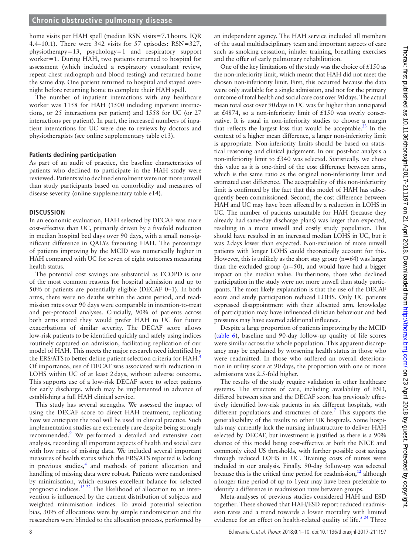home visits per HAH spell (median RSN visits=7.1hours, IQR 4.4–10.1). There were 342 visits for 57 episodes: RSN=327, physiotherapy=13, psychology=1 and respiratory support worker=1. During HAH, two patients returned to hospital for assessment (which included a respiratory consultant review, repeat chest radiograph and blood testing) and returned home the same day. One patient returned to hospital and stayed overnight before returning home to complete their HAH spell.

The number of inpatient interactions with any healthcare worker was 1158 for HAH (1500 including inpatient interactions, or 25 interactions per patient) and 1558 for UC (or 27 interactions per patient). In part, the increased numbers of inpatient interactions for UC were due to reviews by doctors and physiotherapists (see online [supplementary table e13\)](https://dx.doi.org/10.1136/thoraxjnl-2017-211197).

#### **Patients declining participation**

As part of an audit of practice, the baseline characteristics of patients who declined to participate in the HAH study were reviewed. Patients who declined enrolment were not more unwell than study participants based on comorbidity and measures of disease severity (online [supplementary table e14](https://dx.doi.org/10.1136/thoraxjnl-2017-211197)).

#### **Discussion**

In an economic evaluation, HAH selected by DECAF was more cost-effective than UC, primarily driven by a fivefold reduction in median hospital bed days over 90 days, with a small non-significant difference in QALYs favouring HAH. The percentage of patients improving by the MCID was numerically higher in HAH compared with UC for seven of eight outcomes measuring health status.

The potential cost savings are substantial as ECOPD is one of the most common reasons for hospital admission and up to 50% of patients are potentially eligible (DECAF 0–1). In both arms, there were no deaths within the acute period, and readmission rates over 90 days were comparable in intention-to-treat and per-protocol analyses. Crucially, 90% of patients across both arms stated they would prefer HAH to UC for future exacerbations of similar severity. The DECAF score allows low-risk patients to be identified quickly and safely using indices routinely captured on admission, facilitating replication of our model of HAH. This meets the major research need identified by the ERS/ATS to better define patient selection criteria for HAH.<sup>4</sup> Of importance, use of DECAF was associated with reduction in LOHS within UC of at least 2days, without adverse outcome. This supports use of a low-risk DECAF score to select patients for early discharge, which may be implemented in advance of establishing a full HAH clinical service.

This study has several strengths. We assessed the impact of using the DECAF score to direct HAH treatment, replicating how we anticipate the tool will be used in clinical practice. Such implementation studies are extremely rare despite being strongly recommended.<sup>[9](#page-8-7)</sup> We performed a detailed and extensive cost analysis, recording all important aspects of health and social care with low rates of missing data. We included several important measures of health status which the ERS/ATS reported is lacking in previous studies,<sup>4</sup> and methods of patient allocation and handling of missing data were robust. Patients were randomised by minimisation, which ensures excellent balance for selected prognostic indices.[13 22](#page-8-12) The likelihood of allocation to an intervention is influenced by the current distribution of subjects and weighted minimisation indices. To avoid potential selection bias, 30% of allocations were by simple randomisation and the researchers were blinded to the allocation process, performed by

an independent agency. The HAH service included all members of the usual multidisciplinary team and important aspects of care such as smoking cessation, inhaler training, breathing exercises and the offer of early pulmonary rehabilitation.

One of the key limitations of the study was the choice of  $£150$  as the non-inferiority limit, which meant that HAH did not meet the chosen non-inferiority limit. First, this occurred because the data were only available for a single admission, and not for the primary outcome of total health and social care cost over 90days. The actual mean total cost over 90days in UC was far higher than anticipated at £4874, so a non-inferiority limit of £150 was overly conservative. It is usual in non-inferiority studies to choose a margin that reflects the largest loss that would be acceptable.<sup>[23](#page-8-21)</sup> In the context of a higher mean difference, a larger non-inferiority limit is appropriate. Non-inferiority limits should be based on statistical reasoning and clinical judgement. In our post-hoc analysis a non-inferiority limit to  $£340$  was selected. Statistically, we chose this value as it is one-third of the cost difference between arms, which is the same ratio as the original non-inferiority limit and estimated cost difference. The acceptability of this non-inferiority limit is confirmed by the fact that this model of HAH has subsequently been commissioned. Second, the cost difference between HAH and UC may have been affected by a reduction in LOHS in UC. The number of patients unsuitable for HAH (because they already had same-day discharge plans) was larger than expected, resulting in a more unwell and costly study population. This should have resulted in an increased median LOHS in UC, but it was 2days lower than expected. Non-exclusion of more unwell patients with longer LOHS could theoretically account for this. However, this is unlikely as the short stay group  $(n=64)$  was larger than the excluded group (n=50), and would have had a bigger impact on the median value. Furthermore, those who declined participation in the study were not more unwell than study participants. The most likely explanation is that the use of the DECAF score and study participation reduced LOHS. Only UC patients expressed disappointment with their allocated arm, knowledge of participation may have influenced clinician behaviour and bed pressures may have exerted additional influence.

Despite a large proportion of patients improving by the MCID ([table](#page-5-0) 6), baseline and 90-day follow-up quality of life scores were similar across the whole population. This apparent discrepancy may be explained by worsening health status in those who were readmitted. In those who suffered an overall deterioration in utility score at 90days, the proportion with one or more admissions was 2.5-fold higher.

The results of the study require validation in other healthcare systems. The structure of care, including availability of ESD, differed between sites and the DECAF score has previously effectively identified low-risk patients in six different hospitals, with different populations and structures of care.<sup>7</sup> This supports the generalisability of the results to other UK hospitals. Some hospitals may currently lack the nursing infrastructure to deliver HAH selected by DECAF, but investment is justified as there is a 90% chance of this model being cost-effective at both the NICE and commonly cited US thresholds, with further possible cost savings through reduced LOHS in UC. Training costs of nurses were included in our analysis. Finally, 90-day follow-up was selected because this is the critical time period for readmission, $12$  although a longer time period of up to 1year may have been preferable to identify a difference in readmission rates between groups.

Meta-analyses of previous studies considered HAH and ESD together. These showed that HAH/ESD report reduced readmission rates and a trend towards a lower mortality with limited evidence for an effect on health-related quality of life.<sup>5 24</sup> Three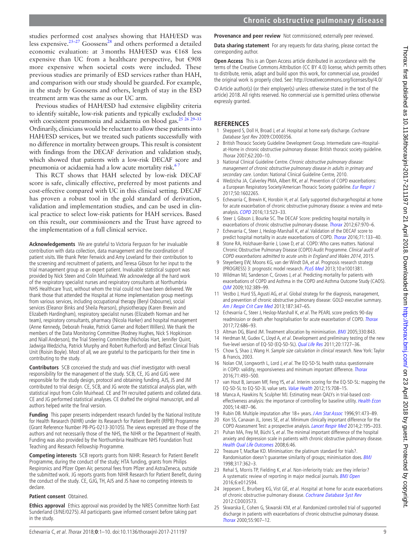studies performed cost analyses showing that HAH/ESD was less expensive.<sup>25-27</sup> Goossens<sup>[28](#page-9-0)</sup> and others performed a detailed economic evaluation: at 3months HAH/ESD was €168 less expensive than UC from a healthcare perspective, but €908 more expensive when societal costs were included. These previous studies are primarily of ESD services rather than HAH, and comparison with our study should be guarded. For example, in the study by Goossens and others, length of stay in the ESD treatment arm was the same as our UC arm.

Previous studies of HAH/ESD had extensive eligibility criteria to identify suitable, low-risk patients and typically excluded those with coexistent pneumonia and acidaemia on blood gas.<sup>25</sup> 26 <sup>29-33</sup> Ordinarily, clinicians would be reluctant to allow these patients into HAH/ESD services, but we treated such patients successfully with no difference in mortality between groups. This result is consistent with findings from the DECAF derivation and validation study, which showed that patients with a low-risk DECAF score and pneumonia or acidaemia had a low acute mortality risk.<sup>67</sup>

This RCT shows that HAH selected by low-risk DECAF score is safe, clinically effective, preferred by most patients and cost-effective compared with UC in this clinical setting. DECAF has proven a robust tool in the gold standard of derivation, validation and implementation studies, and can be used in clinical practice to select low-risk patients for HAH services. Based on this result, our commissioners and the Trust have agreed to the implementation of a full clinical service.

**Acknowledgements** We are grateful to Victoria Ferguson for her invaluable contribution with data collection, data management and the coordination of patient visits. We thank Peter Fenwick and Amy Loveland for their contribution to the screening and recruitment of patients, and Teresa Gibson for her input to the trial management group as an expert patient. Invaluable statistical support was provided by Nick Steen and Colin Muirhead. We acknowledge all the hard work of the respiratory specialist nurses and respiratory consultants at Northumbria NHS Healthcare Trust, without whom the trial could not have been delivered. We thank those that attended the Hospital at Home implementation group meetings from various services, including occupational therapy (Beryl Osbourne), social services (Eleanor Binks and Sheila Pearson), physiotherapy (Karen Brewin and Elizabeth Hardingham), respiratory specialist nurses (Elizabeth Norman and her team), respiratory consultants, pharmacy (Nicola Harker) and hospital management (Anne Kennedy, Deborah Freake, Patrick Garner and Robert Willers). We thank the members of the Data Monitoring Committee (Rodney Hughes, Nick S Hopkinson and Niall Anderson), the Trial Steering Committee (Nicholas Hart, Jennifer Quint, Jadwiga Wedzicha, Patrick Murphy and Robert Rutherford) and Belfast Clinical Trials Unit (Roisin Boyle). Most of all, we are grateful to the participants for their time in contributing to the study.

**Contributors** SCB conceived the study and was chief investigator with overall responsibility for the management of the study. SCB, CE, JG and GJG were responsible for the study design, protocol and obtaining funding. AJS, JS and JM contributed to trial design. CE, SCB, and JG wrote the statistical analysis plan, with statistical input from Colin Muirhead. CE and TH recruited patients and collated data. CE and JG performed statistical analyses. CE drafted the original manuscript, and all authors helped write the final version.

**Funding** This paper presents independent research funded by the National Institute for Health Research (NIHR) under its Research for Patient Benefit (RfPB) Programme (Grant Reference Number PB-PG-0213-30105). The views expressed are those of the authors and not necessarily those of the NHS, the NIHR or the Department of Health. Funding was also provided by the Northumbria Healthcare NHS Foundation Trust Teaching and Research Fellowship Programme.

**Competing interests** SCB reports grants from NIHR: Research for Patient Benefit Programme, during the conduct of the study; HTA funding, grants from Philips Respironics and Pfizer Open Air, personal fees from Pfizer and AstraZeneca, outside the submitted work. JG reports grants from NIHR Research for Patient Benefit, during the conduct of the study. CE, GJG, TH, AJS and JS have no competing interests to declare

#### **Patient consent** Obtained.

**Ethics approval** Ethics approval was provided by the NRES Committee North East Sunderland (3/NE/0275). All participants gave informed consent before taking part in the study.

**Data sharing statement** For any requests for data sharing, please contact the corresponding author.

**Open Access** This is an Open Access article distributed in accordance with the terms of the Creative Commons Attribution (CC BY 4.0) license, which permits others to distribute, remix, adapt and build upon this work, for commercial use, provided the original work is properly cited. See:<http://creativecommons.org/licenses/by/4.0/>

© Article author(s) (or their employer(s) unless otherwise stated in the text of the article) 2018. All rights reserved. No commercial use is permitted unless otherwise expressly granted.

#### **References**

- <span id="page-8-0"></span>1 Shepperd S, Doll H, Broad J, et al. Hospital at home early discharge. Cochrane Database Syst Rev 2009:CD000356.
- <span id="page-8-1"></span>2 British Thoracic Society Guideline Development Group. Intermediate care–Hospitalat-Home in chronic obstructive pulmonary disease: British thoracic society guideline. Thorax 2007;62:200–10.
- <span id="page-8-2"></span>3 National Clinical Guideline Centre. Chronic obstructive pulmonary disease: management of chronic obstructive pulmonary disease in adults in primary and secondary care. London: National Clinical Guideline Centre, 2010.
- <span id="page-8-3"></span>4 Wedzicha JA, Calverley PMA, Albert RK, et al. Prevention of COPD exacerbations: a European Respiratory Society/American Thoracic Society guideline. [Eur Respir J](http://dx.doi.org/10.1183/13993003.02265-2016) 2017;50:1602265.
- <span id="page-8-4"></span>5 Echevarria C, Brewin K, Horobin H, et al. Early supported discharge/hospital at home for acute exacerbation of chronic obstructive pulmonary disease: a review and metaanalysis. [COPD](http://dx.doi.org/10.3109/15412555.2015.1067885) 2016;13:523–33.
- <span id="page-8-5"></span>6 Steer J, Gibson J, Bourke SC. The DECAF Score: predicting hospital mortality in exacerbations of chronic obstructive pulmonary disease. [Thorax](http://dx.doi.org/10.1136/thoraxjnl-2012-202103) 2012;67:970-6.
- <span id="page-8-10"></span>7 Echevarria C, Steer J, Heslop-Marshall K, et al. Validation of the DECAF score to predict hospital mortality in acute exacerbations of COPD. [Thorax](http://dx.doi.org/10.1136/thoraxjnl-2015-207775) 2016;71:133-40.
- <span id="page-8-6"></span>8 Stone RA, Holzhauer-Barrie J, Lowe D, et al. COPD: Who cares matters. National Chronic Obstructive Pulmonary Disease (COPD) Audit Programme. Clinical audit of COPD exacerbations admitted to acute units in England and Wales 2014, 2015.
- <span id="page-8-7"></span>9 Steyerberg EW, Moons KG, van der Windt DA, et al. Prognosis research strategy (PROGRESS) 3: prognostic model research. [PLoS Med](http://dx.doi.org/10.1371/journal.pmed.1001381) 2013;10:e1001381.
- <span id="page-8-8"></span>10 Wildman MJ, Sanderson C, Groves J, et al. Predicting mortality for patients with exacerbations of COPD and Asthma in the COPD and Asthma Outcome Study (CAOS). [QJM](http://dx.doi.org/10.1093/qjmed/hcp036) 2009;102:389-99.
- <span id="page-8-9"></span>11 Vestbo J, Hurd SS, Agustí AG, et al. Global strategy for the diagnosis, management, and prevention of chronic obstructive pulmonary disease: GOLD executive summary. [Am J Respir Crit Care Med](http://dx.doi.org/10.1164/rccm.201204-0596PP) 2013;187:347-65.
- <span id="page-8-11"></span>12 Echevarria C, Steer J, Heslop-Marshall K, et al. The PEARL score predicts 90-day readmission or death after hospitalisation for acute exacerbation of COPD. [Thorax](http://dx.doi.org/10.1136/thoraxjnl-2016-209298) 2017;72:686–93.
- <span id="page-8-12"></span>13 Altman DG, Bland JM. Treatment allocation by minimisation. [BMJ](http://dx.doi.org/10.1136/bmj.330.7495.843) 2005;330:843.
- <span id="page-8-13"></span>14 Herdman M, Gudex C, Lloyd A, et al. Development and preliminary testing of the new five-level version of EQ-5D (EQ-5D-5L). [Qual Life Res](http://dx.doi.org/10.1007/s11136-011-9903-x) 2011;20:1727-36.
- <span id="page-8-14"></span>15 Chow S, Shao J, Wang H. Sample size calculation in clinical research. New York: Taylor & Francis, 2003.
- <span id="page-8-15"></span>16 Nolan CM, Longworth L, Lord J, et al. The EQ-5D-5L health status questionnaire in COPD: validity, responsiveness and minimum important difference. [Thorax](http://dx.doi.org/10.1136/thoraxjnl-2015-207782) 2016;71:493–500.
- <span id="page-8-16"></span>17 van Hout B, Janssen MF, Feng YS, et al. Interim scoring for the EQ-5D-5L: mapping the EQ-5D-5L to EQ-5D-3L value sets. [Value Health](http://dx.doi.org/10.1016/j.jval.2012.02.008) 2012;15:708–15.
- <span id="page-8-17"></span>18 Manca A, Hawkins N, Sculpher MJ. Estimating mean QALYs in trial-based cost-effectiveness analysis: the importance of controlling for baseline utility. [Health Econ](http://dx.doi.org/10.1002/hec.944) 2005;14:487–96.
- <span id="page-8-18"></span>19 Rubin DB. Multiple imputation after 18+ years. [J Am Stat Assoc](http://dx.doi.org/10.1080/01621459.1996.10476908) 1996;91:473-89.
- <span id="page-8-19"></span>20 Kon SS, Canavan JL, Jones SE, et al. Minimum clinically important difference for the COPD Assessment Test: a prospective analysis. [Lancet Respir Med](http://dx.doi.org/10.1016/S2213-2600(14)70001-3) 2014;2:195–203.
- <span id="page-8-20"></span>21 Puhan MA, Frey M, Büchi S, et al. The minimal important difference of the hospital anxiety and depression scale in patients with chronic obstructive pulmonary disease. [Health Qual Life Outcomes](http://dx.doi.org/10.1186/1477-7525-6-46) 2008;6:46.
- 22 Treasure T, MacRae KD. Minimisation: the platinum standard for trials?. Randomisation doesn't quarantee similarity of groups; minimisation does. **[BMJ](http://www.ncbi.nlm.nih.gov/pubmed/9694748)** 1998;317:362–3.
- <span id="page-8-21"></span>23 Rehal S, Morris TP, Fielding K, et al. Non-inferiority trials: are they inferior? A systematic review of reporting in major medical journals. **[BMJ Open](http://dx.doi.org/10.1136/bmjopen-2016-012594)** 2016;6:e012594.
- 24 Jeppesen E, Brurberg KG, Vist GE, et al. Hospital at home for acute exacerbations of chronic obstructive pulmonary disease. [Cochrane Database Syst Rev](http://dx.doi.org/10.1002/14651858.CD003573.pub2) 2012:CD003573.
- <span id="page-8-22"></span>25 Skwarska E, Cohen G, Skwarski KM, et al. Randomized controlled trial of supported discharge in patients with exacerbations of chronic obstructive pulmonary disease. [Thorax](http://dx.doi.org/10.1136/thorax.55.11.907) 2000;55:907–12.